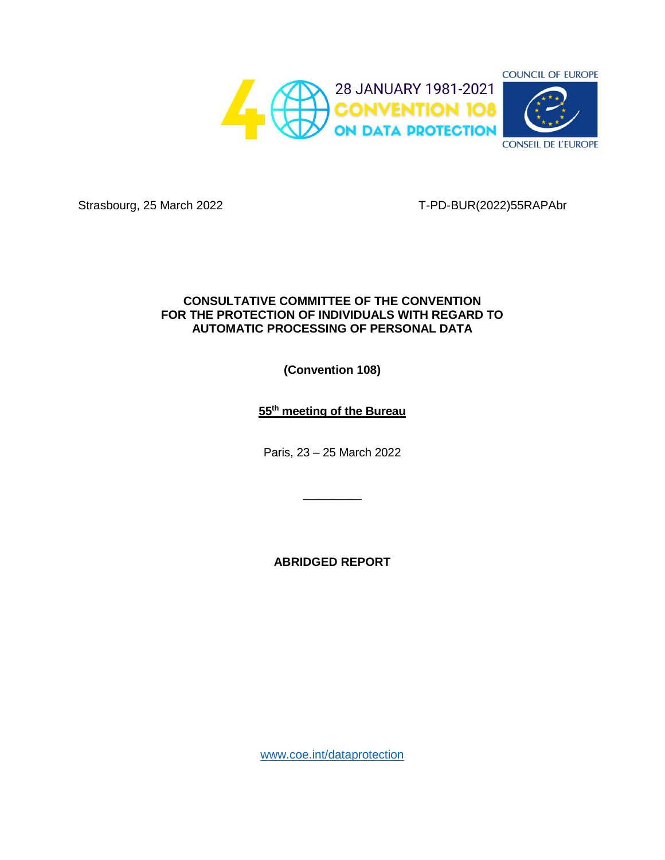

Strasbourg, 25 March 2022 T-PD-BUR(2022)55RAPAbr

# **CONSULTATIVE COMMITTEE OF THE CONVENTION FOR THE PROTECTION OF INDIVIDUALS WITH REGARD TO AUTOMATIC PROCESSING OF PERSONAL DATA**

**(Convention 108)**

**55th meeting of the Bureau**

Paris, 23 – 25 March 2022

 $\overline{\phantom{a}}$  , where  $\overline{\phantom{a}}$ 

**ABRIDGED REPORT**

[www.coe.int/dataprotection](http://www.coe.int/dataprotection)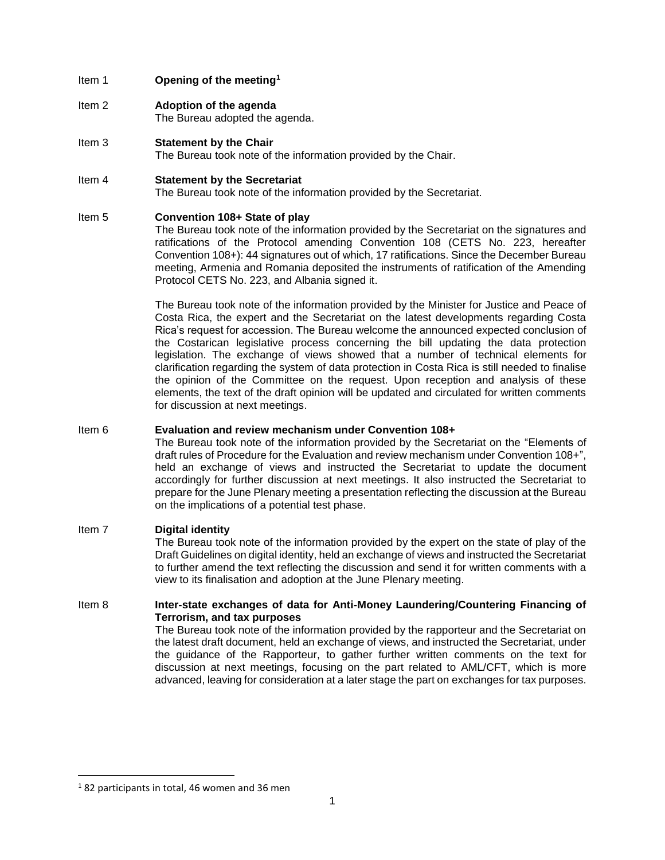### Item 1 **Opening of the meeting<sup>1</sup>**

- Item 2 **Adoption of the agenda** The Bureau adopted the agenda.
- Item 3 **Statement by the Chair** The Bureau took note of the information provided by the Chair.

#### Item 4 **Statement by the Secretariat**

The Bureau took note of the information provided by the Secretariat.

### Item 5 **Convention 108+ State of play**

The Bureau took note of the information provided by the Secretariat on the signatures and ratifications of the Protocol amending Convention 108 (CETS No. 223, hereafter Convention 108+): 44 signatures out of which, 17 ratifications. Since the December Bureau meeting, Armenia and Romania deposited the instruments of ratification of the Amending Protocol CETS No. 223, and Albania signed it.

The Bureau took note of the information provided by the Minister for Justice and Peace of Costa Rica, the expert and the Secretariat on the latest developments regarding Costa Rica's request for accession. The Bureau welcome the announced expected conclusion of the Costarican legislative process concerning the bill updating the data protection legislation. The exchange of views showed that a number of technical elements for clarification regarding the system of data protection in Costa Rica is still needed to finalise the opinion of the Committee on the request. Upon reception and analysis of these elements, the text of the draft opinion will be updated and circulated for written comments for discussion at next meetings.

## Item 6 **Evaluation and review mechanism under Convention 108+**

The Bureau took note of the information provided by the Secretariat on the "Elements of draft rules of Procedure for the Evaluation and review mechanism under Convention 108+", held an exchange of views and instructed the Secretariat to update the document accordingly for further discussion at next meetings. It also instructed the Secretariat to prepare for the June Plenary meeting a presentation reflecting the discussion at the Bureau on the implications of a potential test phase.

### Item 7 **Digital identity**

The Bureau took note of the information provided by the expert on the state of play of the Draft Guidelines on digital identity, held an exchange of views and instructed the Secretariat to further amend the text reflecting the discussion and send it for written comments with a view to its finalisation and adoption at the June Plenary meeting.

### Item 8 **Inter-state exchanges of data for Anti-Money Laundering/Countering Financing of Terrorism, and tax purposes**

The Bureau took note of the information provided by the rapporteur and the Secretariat on the latest draft document, held an exchange of views, and instructed the Secretariat, under the guidance of the Rapporteur, to gather further written comments on the text for discussion at next meetings, focusing on the part related to AML/CFT, which is more advanced, leaving for consideration at a later stage the part on exchanges for tax purposes.

 $\overline{\phantom{a}}$ 

<sup>&</sup>lt;sup>1</sup> 82 participants in total, 46 women and 36 men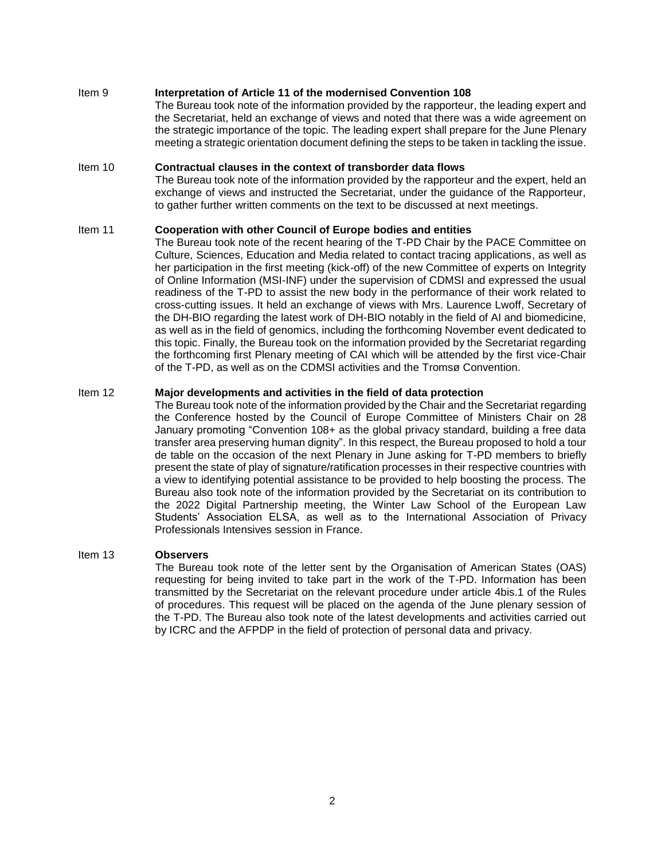#### Item 9 **Interpretation of Article 11 of the modernised Convention 108**

The Bureau took note of the information provided by the rapporteur, the leading expert and the Secretariat, held an exchange of views and noted that there was a wide agreement on the strategic importance of the topic. The leading expert shall prepare for the June Plenary meeting a strategic orientation document defining the steps to be taken in tackling the issue.

## Item 10 **Contractual clauses in the context of transborder data flows**

The Bureau took note of the information provided by the rapporteur and the expert, held an exchange of views and instructed the Secretariat, under the guidance of the Rapporteur, to gather further written comments on the text to be discussed at next meetings.

### Item 11 **Cooperation with other Council of Europe bodies and entities**

The Bureau took note of the recent hearing of the T-PD Chair by the PACE Committee on Culture, Sciences, Education and Media related to contact tracing applications, as well as her participation in the first meeting (kick-off) of the new Committee of experts on Integrity of Online Information (MSI-INF) under the supervision of CDMSI and expressed the usual readiness of the T-PD to assist the new body in the performance of their work related to cross-cutting issues. It held an exchange of views with Mrs. Laurence Lwoff, Secretary of the DH-BIO regarding the latest work of DH-BIO notably in the field of AI and biomedicine, as well as in the field of genomics, including the forthcoming November event dedicated to this topic. Finally, the Bureau took on the information provided by the Secretariat regarding the forthcoming first Plenary meeting of CAI which will be attended by the first vice-Chair of the T-PD, as well as on the CDMSI activities and the Tromsø Convention.

#### Item 12 **Major developments and activities in the field of data protection**

The Bureau took note of the information provided by the Chair and the Secretariat regarding the Conference hosted by the Council of Europe Committee of Ministers Chair on 28 January promoting "Convention 108+ as the global privacy standard, building a free data transfer area preserving human dignity". In this respect, the Bureau proposed to hold a tour de table on the occasion of the next Plenary in June asking for T-PD members to briefly present the state of play of signature/ratification processes in their respective countries with a view to identifying potential assistance to be provided to help boosting the process. The Bureau also took note of the information provided by the Secretariat on its contribution to the 2022 Digital Partnership meeting, the Winter Law School of the European Law Students' Association ELSA, as well as to the International Association of Privacy Professionals Intensives session in France.

#### Item 13 **Observers**

The Bureau took note of the letter sent by the Organisation of American States (OAS) requesting for being invited to take part in the work of the T-PD. Information has been transmitted by the Secretariat on the relevant procedure under article 4bis.1 of the Rules of procedures. This request will be placed on the agenda of the June plenary session of the T-PD. The Bureau also took note of the latest developments and activities carried out by ICRC and the AFPDP in the field of protection of personal data and privacy.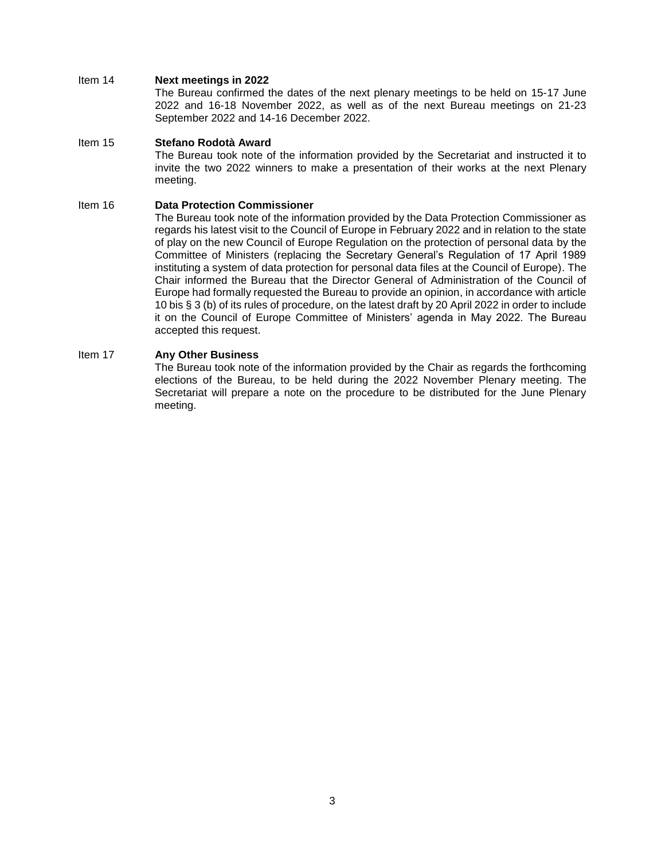#### Item 14 **Next meetings in 2022**

The Bureau confirmed the dates of the next plenary meetings to be held on 15-17 June 2022 and 16-18 November 2022, as well as of the next Bureau meetings on 21-23 September 2022 and 14-16 December 2022.

## Item 15 **Stefano Rodotà Award**

The Bureau took note of the information provided by the Secretariat and instructed it to invite the two 2022 winners to make a presentation of their works at the next Plenary meeting.

#### Item 16 **Data Protection Commissioner**

The Bureau took note of the information provided by the Data Protection Commissioner as regards his latest visit to the Council of Europe in February 2022 and in relation to the state of play on the new Council of Europe Regulation on the protection of personal data by the Committee of Ministers (replacing the Secretary General's Regulation of 17 April 1989 instituting a system of data protection for personal data files at the Council of Europe). The Chair informed the Bureau that the Director General of Administration of the Council of Europe had formally requested the Bureau to provide an opinion, in accordance with article 10 bis § 3 (b) of its rules of procedure, on the latest draft by 20 April 2022 in order to include it on the Council of Europe Committee of Ministers' agenda in May 2022. The Bureau accepted this request.

# Item 17 **Any Other Business**

The Bureau took note of the information provided by the Chair as regards the forthcoming elections of the Bureau, to be held during the 2022 November Plenary meeting. The Secretariat will prepare a note on the procedure to be distributed for the June Plenary meeting.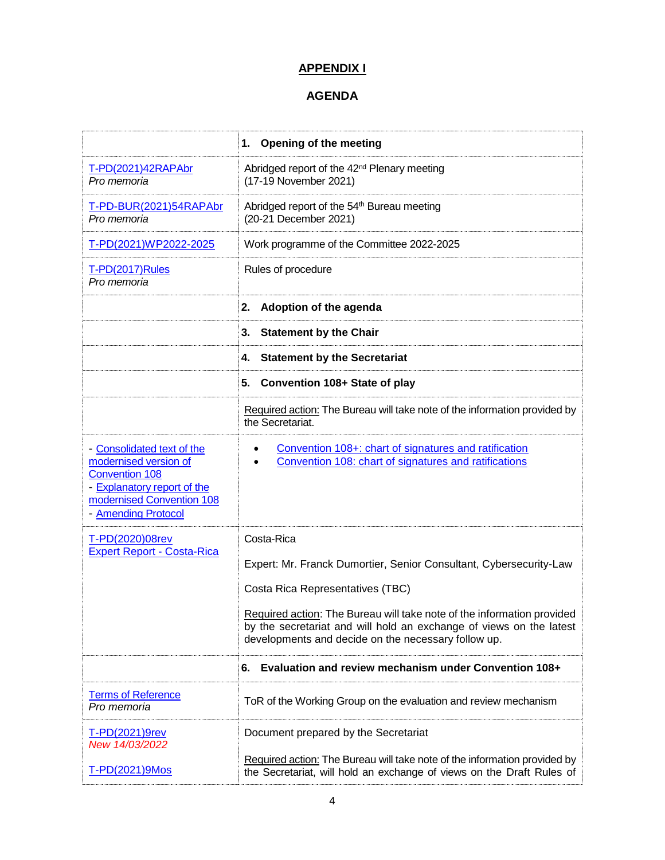# **APPENDIX I**

# **AGENDA**

|                                                                                                                                                                 | <b>Opening of the meeting</b><br>1.                                                                                                                                                                  |
|-----------------------------------------------------------------------------------------------------------------------------------------------------------------|------------------------------------------------------------------------------------------------------------------------------------------------------------------------------------------------------|
| T-PD(2021)42RAPAbr<br>Pro memoria                                                                                                                               | Abridged report of the 42 <sup>nd</sup> Plenary meeting<br>(17-19 November 2021)                                                                                                                     |
| T-PD-BUR(2021)54RAPAbr<br>Pro memoria                                                                                                                           | Abridged report of the 54 <sup>th</sup> Bureau meeting<br>(20-21 December 2021)                                                                                                                      |
| T-PD(2021)WP2022-2025                                                                                                                                           | Work programme of the Committee 2022-2025                                                                                                                                                            |
| <b>T-PD(2017)Rules</b><br>Pro memoria                                                                                                                           | Rules of procedure                                                                                                                                                                                   |
|                                                                                                                                                                 | Adoption of the agenda<br>2.                                                                                                                                                                         |
|                                                                                                                                                                 | <b>Statement by the Chair</b><br>3.                                                                                                                                                                  |
|                                                                                                                                                                 | <b>Statement by the Secretariat</b><br>4.                                                                                                                                                            |
|                                                                                                                                                                 | 5.<br>Convention 108+ State of play                                                                                                                                                                  |
|                                                                                                                                                                 | Required action: The Bureau will take note of the information provided by<br>the Secretariat.                                                                                                        |
| - Consolidated text of the<br>modernised version of<br><b>Convention 108</b><br>- Explanatory report of the<br>modernised Convention 108<br>- Amending Protocol | Convention 108+: chart of signatures and ratification<br>Convention 108: chart of signatures and ratifications                                                                                       |
| T-PD(2020)08rev<br><b>Expert Report - Costa-Rica</b>                                                                                                            | Costa-Rica                                                                                                                                                                                           |
|                                                                                                                                                                 | Expert: Mr. Franck Dumortier, Senior Consultant, Cybersecurity-Law                                                                                                                                   |
|                                                                                                                                                                 | Costa Rica Representatives (TBC)                                                                                                                                                                     |
|                                                                                                                                                                 | Required action: The Bureau will take note of the information provided<br>by the secretariat and will hold an exchange of views on the latest<br>developments and decide on the necessary follow up. |
|                                                                                                                                                                 | Evaluation and review mechanism under Convention 108+<br>6.                                                                                                                                          |
| <b>Terms of Reference</b><br>Pro memoria                                                                                                                        | ToR of the Working Group on the evaluation and review mechanism                                                                                                                                      |
| T-PD(2021)9rev<br>New 14/03/2022                                                                                                                                | Document prepared by the Secretariat                                                                                                                                                                 |
| T-PD(2021)9Mos                                                                                                                                                  | Required action: The Bureau will take note of the information provided by<br>the Secretariat, will hold an exchange of views on the Draft Rules of                                                   |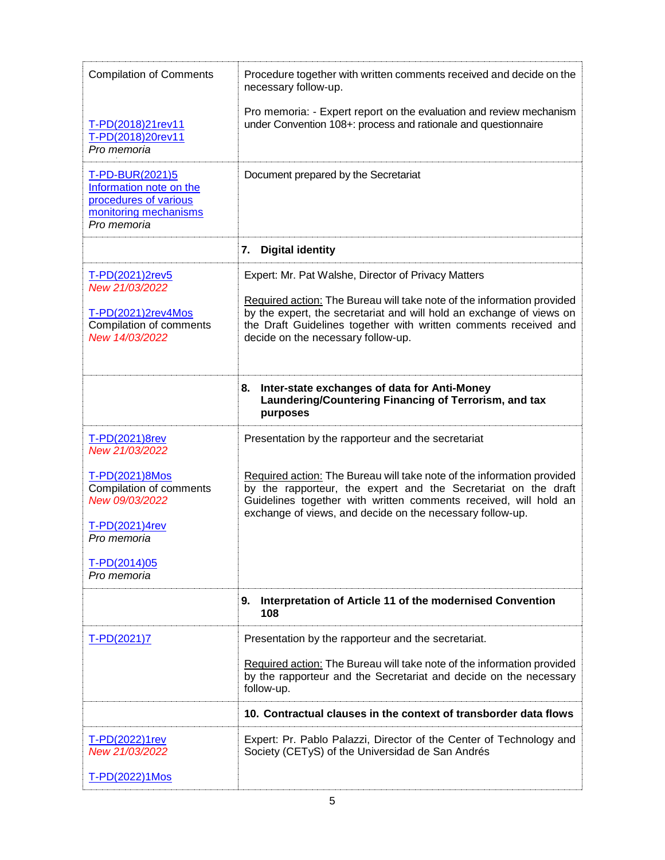| <b>Compilation of Comments</b>                                                                                                     | Procedure together with written comments received and decide on the<br>necessary follow-up.                                                                                                                                                                                                                     |
|------------------------------------------------------------------------------------------------------------------------------------|-----------------------------------------------------------------------------------------------------------------------------------------------------------------------------------------------------------------------------------------------------------------------------------------------------------------|
| T-PD(2018)21rev11<br>T-PD(2018)20rev11<br>Pro memoria                                                                              | Pro memoria: - Expert report on the evaluation and review mechanism<br>under Convention 108+: process and rationale and questionnaire                                                                                                                                                                           |
| T-PD-BUR(2021)5<br>Information note on the<br>procedures of various<br>monitoring mechanisms<br>Pro memoria                        | Document prepared by the Secretariat                                                                                                                                                                                                                                                                            |
|                                                                                                                                    | <b>Digital identity</b><br>7.                                                                                                                                                                                                                                                                                   |
| T-PD(2021)2rev5<br>New 21/03/2022<br>T-PD(2021)2rev4Mos<br>Compilation of comments<br>New 14/03/2022                               | Expert: Mr. Pat Walshe, Director of Privacy Matters<br>Required action: The Bureau will take note of the information provided<br>by the expert, the secretariat and will hold an exchange of views on<br>the Draft Guidelines together with written comments received and<br>decide on the necessary follow-up. |
|                                                                                                                                    | Inter-state exchanges of data for Anti-Money<br>8.<br>Laundering/Countering Financing of Terrorism, and tax<br>purposes                                                                                                                                                                                         |
| T-PD(2021)8rev<br>New 21/03/2022                                                                                                   | Presentation by the rapporteur and the secretariat                                                                                                                                                                                                                                                              |
| T-PD(2021)8Mos<br><b>Compilation of comments</b><br>New 09/03/2022<br>T-PD(2021)4rev<br>Pro memoria<br>T-PD(2014)05<br>Pro memoria | Required action: The Bureau will take note of the information provided<br>by the rapporteur, the expert and the Secretariat on the draft<br>Guidelines together with written comments received, will hold an<br>exchange of views, and decide on the necessary follow-up.                                       |
|                                                                                                                                    | Interpretation of Article 11 of the modernised Convention<br>9.<br>108                                                                                                                                                                                                                                          |
| $T-PD(2021)7$                                                                                                                      | Presentation by the rapporteur and the secretariat.                                                                                                                                                                                                                                                             |
|                                                                                                                                    | Required action: The Bureau will take note of the information provided<br>by the rapporteur and the Secretariat and decide on the necessary<br>follow-up.                                                                                                                                                       |
|                                                                                                                                    | 10. Contractual clauses in the context of transborder data flows                                                                                                                                                                                                                                                |
| T-PD(2022)1rev<br>New 21/03/2022                                                                                                   | Expert: Pr. Pablo Palazzi, Director of the Center of Technology and<br>Society (CETyS) of the Universidad de San Andrés                                                                                                                                                                                         |
| T-PD(2022)1Mos                                                                                                                     |                                                                                                                                                                                                                                                                                                                 |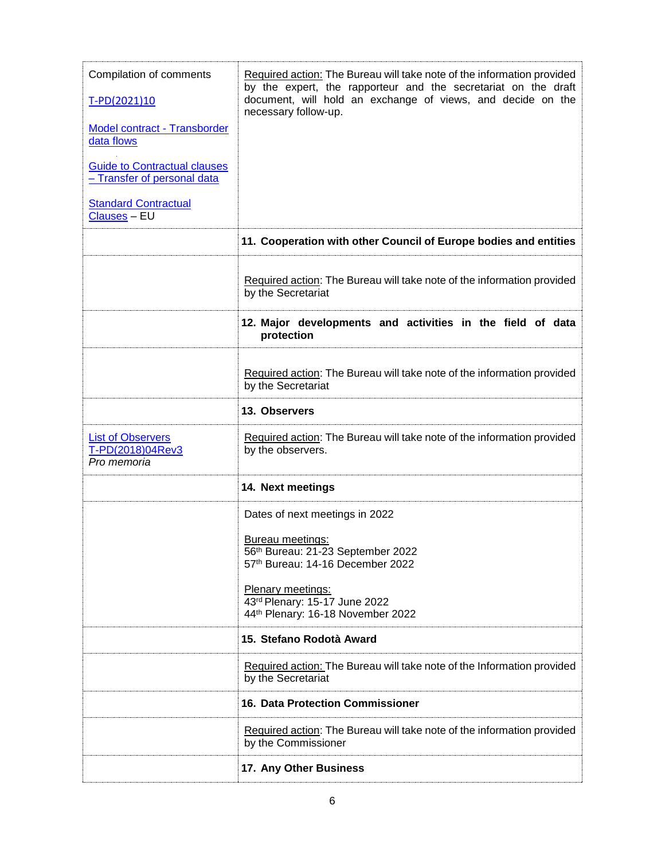| Compilation of comments<br>T-PD(2021)10<br>Model contract - Transborder<br>data flows<br><b>Guide to Contractual clauses</b><br>- Transfer of personal data<br><b>Standard Contractual</b><br><b>Clauses - EU</b> | Required action: The Bureau will take note of the information provided<br>by the expert, the rapporteur and the secretariat on the draft<br>document, will hold an exchange of views, and decide on the<br>necessary follow-up. |
|-------------------------------------------------------------------------------------------------------------------------------------------------------------------------------------------------------------------|---------------------------------------------------------------------------------------------------------------------------------------------------------------------------------------------------------------------------------|
|                                                                                                                                                                                                                   | 11. Cooperation with other Council of Europe bodies and entities                                                                                                                                                                |
|                                                                                                                                                                                                                   | Required action: The Bureau will take note of the information provided<br>by the Secretariat                                                                                                                                    |
|                                                                                                                                                                                                                   | 12. Major developments and activities in the field of data<br>protection                                                                                                                                                        |
|                                                                                                                                                                                                                   | Required action: The Bureau will take note of the information provided<br>by the Secretariat                                                                                                                                    |
|                                                                                                                                                                                                                   | 13. Observers                                                                                                                                                                                                                   |
| <b>List of Observers</b><br>T-PD(2018)04Rev3<br>Pro memoria                                                                                                                                                       | Required action: The Bureau will take note of the information provided<br>by the observers.                                                                                                                                     |
|                                                                                                                                                                                                                   | 14. Next meetings                                                                                                                                                                                                               |
|                                                                                                                                                                                                                   | Dates of next meetings in 2022<br>Bureau meetings:<br>56th Bureau: 21-23 September 2022<br>57th Bureau: 14-16 December 2022<br>Plenary meetings:<br>43rd Plenary: 15-17 June 2022<br>44th Plenary: 16-18 November 2022          |
|                                                                                                                                                                                                                   | 15. Stefano Rodotà Award                                                                                                                                                                                                        |
|                                                                                                                                                                                                                   | Required action: The Bureau will take note of the Information provided<br>by the Secretariat                                                                                                                                    |
|                                                                                                                                                                                                                   | <b>16. Data Protection Commissioner</b>                                                                                                                                                                                         |
|                                                                                                                                                                                                                   | Required action: The Bureau will take note of the information provided<br>by the Commissioner                                                                                                                                   |
|                                                                                                                                                                                                                   | 17. Any Other Business                                                                                                                                                                                                          |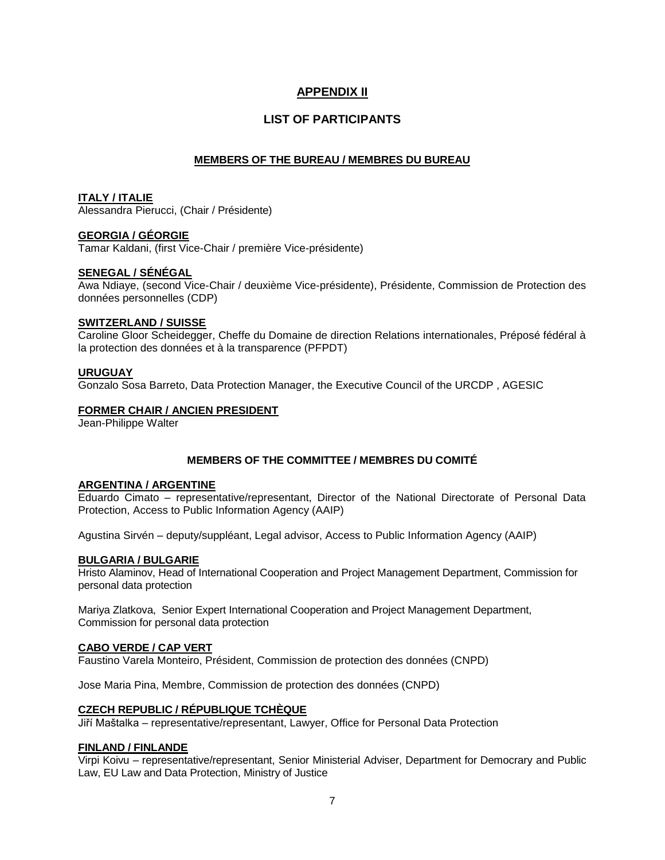# **APPENDIX II**

# **LIST OF PARTICIPANTS**

# **MEMBERS OF THE BUREAU / MEMBRES DU BUREAU**

# **ITALY / ITALIE**

Alessandra Pierucci, (Chair / Présidente)

# **GEORGIA / GÉORGIE**

Tamar Kaldani, (first Vice-Chair / première Vice-présidente)

# **SENEGAL / SÉNÉGAL**

Awa Ndiaye, (second Vice-Chair / deuxième Vice-présidente), Présidente, Commission de Protection des données personnelles (CDP)

### **SWITZERLAND / SUISSE**

Caroline Gloor Scheidegger, Cheffe du Domaine de direction Relations internationales, Préposé fédéral à la protection des données et à la transparence (PFPDT)

### **URUGUAY**

Gonzalo Sosa Barreto, Data Protection Manager, the Executive Council of the URCDP , AGESIC

# **FORMER CHAIR / ANCIEN PRESIDENT**

Jean-Philippe Walter

# **MEMBERS OF THE COMMITTEE / MEMBRES DU COMITÉ**

### **ARGENTINA / ARGENTINE**

Eduardo Cimato – representative/representant, Director of the National Directorate of Personal Data Protection, Access to Public Information Agency (AAIP)

Agustina Sirvén – deputy/suppléant, Legal advisor, Access to Public Information Agency (AAIP)

### **BULGARIA / BULGARIE**

Hristo Alaminov, Head of International Cooperation and Project Management Department, Commission for personal data protection

Mariya Zlatkova, Senior Expert International Cooperation and Project Management Department, Commission for personal data protection

### **CABO VERDE / CAP VERT**

Faustino Varela Monteiro, Président, Commission de protection des données (CNPD)

[Jose Maria Pina,](mailto:jose.pina@cnp.cv) Membre, Commission de protection des données (CNPD)

### **CZECH REPUBLIC / RÉPUBLIQUE TCHÈQUE**

Jiří Maštalka – representative/representant, Lawyer, Office for Personal Data Protection

### **FINLAND / FINLANDE**

Virpi Koivu – representative/representant, Senior Ministerial Adviser, Department for Democrary and Public Law, EU Law and Data Protection, Ministry of Justice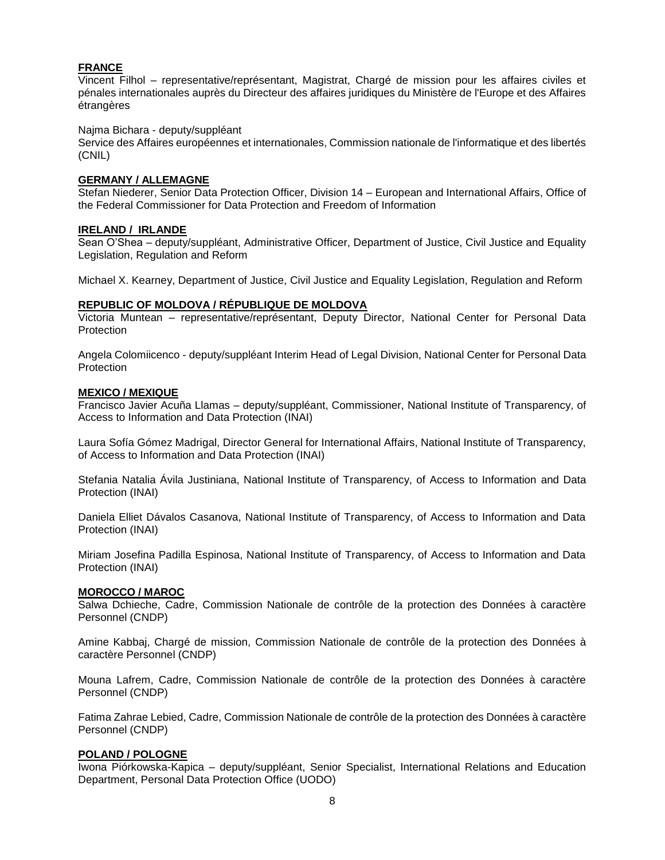## **FRANCE**

Vincent Filhol – representative/représentant, Magistrat, Chargé de mission pour les affaires civiles et pénales internationales auprès du Directeur des affaires juridiques du Ministère de l'Europe et des Affaires étrangères

#### Najma Bichara - deputy/suppléant

Service des Affaires européennes et internationales, Commission nationale de l'informatique et des libertés (CNIL)

#### **GERMANY / ALLEMAGNE**

Stefan Niederer, Senior Data Protection Officer, Division 14 – European and International Affairs, Office of the Federal Commissioner for Data Protection and Freedom of Information

#### **IRELAND / IRLANDE**

Sean O'Shea – deputy/suppléant, Administrative Officer, Department of Justice, Civil Justice and Equality Legislation, Regulation and Reform

Michael X. Kearney, Department of Justice, Civil Justice and Equality Legislation, Regulation and Reform

### **REPUBLIC OF MOLDOVA / RÉPUBLIQUE DE MOLDOVA**

Victoria Muntean – representative/représentant, Deputy Director, National Center for Personal Data **Protection** 

Angela Colomiicenco - deputy/suppléant Interim Head of Legal Division, National Center for Personal Data **Protection** 

#### **MEXICO / MEXIQUE**

Francisco Javier Acuña Llamas – deputy/suppléant, Commissioner, National Institute of Transparency, of Access to Information and Data Protection (INAI)

Laura Sofía Gómez Madrigal, Director General for International Affairs, National Institute of Transparency, of Access to Information and Data Protection (INAI)

Stefania Natalia Ávila Justiniana, National Institute of Transparency, of Access to Information and Data Protection (INAI)

Daniela Elliet Dávalos Casanova, National Institute of Transparency, of Access to Information and Data Protection (INAI)

Miriam Josefina Padilla Espinosa, National Institute of Transparency, of Access to Information and Data Protection (INAI)

#### **MOROCCO / MAROC**

Salwa Dchieche, Cadre, Commission Nationale de contrôle de la protection des Données à caractère Personnel (CNDP)

Amine Kabbaj, Chargé de mission, Commission Nationale de contrôle de la protection des Données à caractère Personnel (CNDP)

Mouna Lafrem, Cadre, Commission Nationale de contrôle de la protection des Données à caractère Personnel (CNDP)

Fatima Zahrae Lebied, Cadre, Commission Nationale de contrôle de la protection des Données à caractère Personnel (CNDP)

# **POLAND / POLOGNE**

Iwona Piórkowska-Kapica – deputy/suppléant, Senior Specialist, International Relations and Education Department, Personal Data Protection Office (UODO)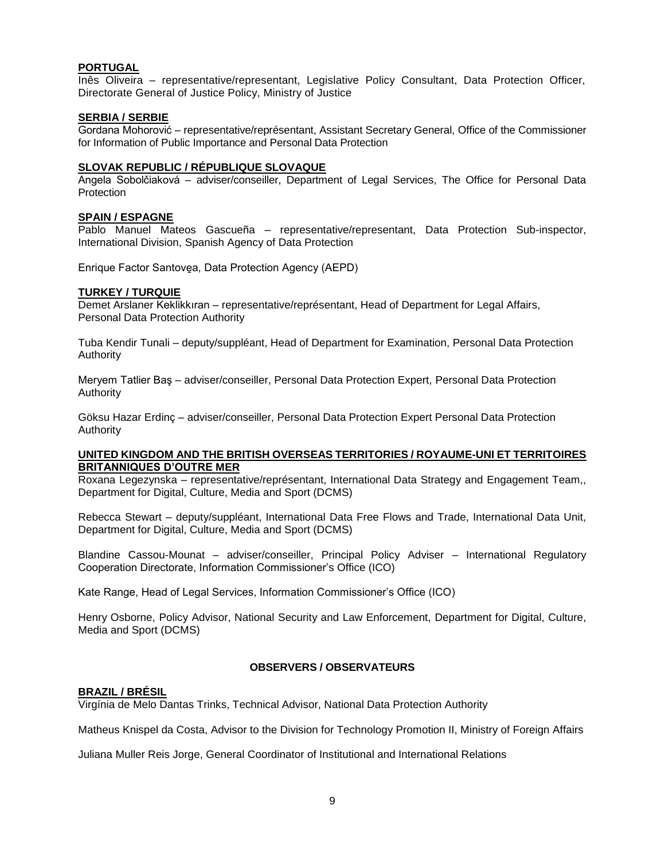### **PORTUGAL**

Inês Oliveira – representative/representant, Legislative Policy Consultant, Data Protection Officer, Directorate General of Justice Policy, Ministry of Justice

#### **SERBIA / SERBIE**

Gordana Mohorović – representative/représentant, Assistant Secretary General, Office of the Commissioner for Information of Public Importance and Personal Data Protection

### **SLOVAK REPUBLIC / RÉPUBLIQUE SLOVAQUE**

Angela Sobolčiaková – adviser/conseiller, Department of Legal Services, The Office for Personal Data **Protection** 

#### **SPAIN / ESPAGNE**

Pablo Manuel Mateos Gascueña – representative/representant, Data Protection Sub-inspector, International Division, Spanish Agency of Data Protection

Enrique Factor Santove̱a, Data Protection Agency (AEPD)

#### **TURKEY / TURQUIE**

Demet Arslaner Keklikkıran – representative/représentant, Head of Department for Legal Affairs, Personal Data Protection Authority

Tuba Kendir Tunali – deputy/suppléant, Head of Department for Examination, Personal Data Protection Authority

Meryem Tatlier Baş – adviser/conseiller, Personal Data Protection Expert, Personal Data Protection Authority

Göksu Hazar Erdinç – adviser/conseiller, Personal Data Protection Expert Personal Data Protection Authority

#### **UNITED KINGDOM AND THE BRITISH OVERSEAS TERRITORIES / ROYAUME-UNI ET TERRITOIRES BRITANNIQUES D'OUTRE MER**

Roxana Legezynska – representative/représentant, International Data Strategy and Engagement Team,, Department for Digital, Culture, Media and Sport (DCMS)

Rebecca Stewart – deputy/suppléant, International Data Free Flows and Trade, International Data Unit, Department for Digital, Culture, Media and Sport (DCMS)

Blandine Cassou-Mounat – adviser/conseiller, Principal Policy Adviser – International Regulatory Cooperation Directorate, Information Commissioner's Office (ICO)

Kate Range, Head of Legal Services, Information Commissioner's Office (ICO)

Henry Osborne, Policy Advisor, National Security and Law Enforcement, Department for Digital, Culture, Media and Sport (DCMS)

### **OBSERVERS / OBSERVATEURS**

### **BRAZIL / BRÉSIL**

Virgínia de Melo Dantas Trinks, Technical Advisor, National Data Protection Authority

Matheus Knispel da Costa, Advisor to the Division for Technology Promotion II, Ministry of Foreign Affairs

Juliana Muller Reis Jorge, General Coordinator of Institutional and International Relations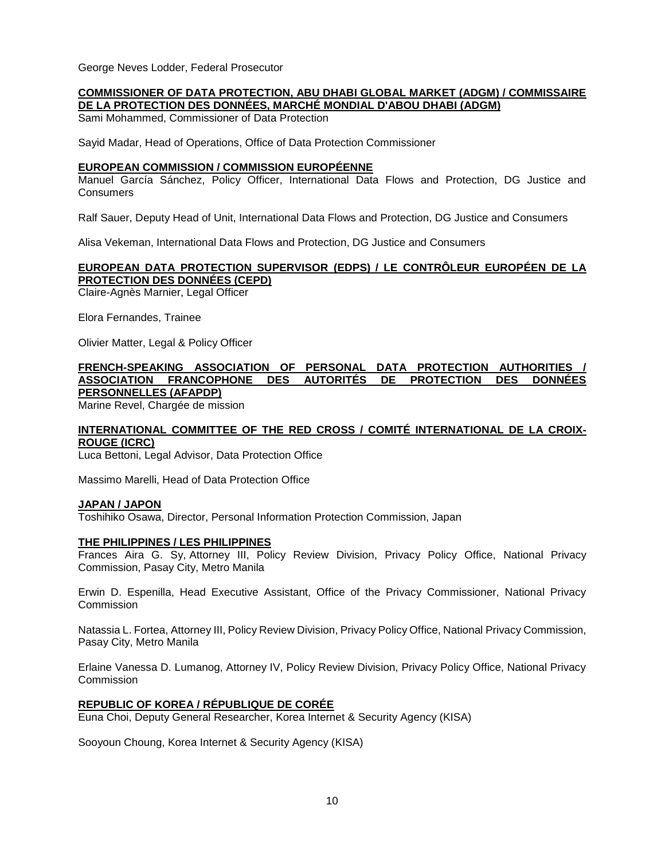George Neves Lodder, Federal Prosecutor

#### **COMMISSIONER OF DATA PROTECTION, ABU DHABI GLOBAL MARKET (ADGM) / COMMISSAIRE DE LA PROTECTION DES DONNÉES, MARCHÉ MONDIAL D'ABOU DHABI (ADGM)**

Sami Mohammed, Commissioner of Data Protection

Sayid Madar, Head of Operations, Office of Data Protection Commissioner

### **EUROPEAN COMMISSION / COMMISSION EUROPÉENNE**

Manuel García Sánchez, Policy Officer, International Data Flows and Protection, DG Justice and Consumers

Ralf Sauer, Deputy Head of Unit, International Data Flows and Protection, DG Justice and Consumers

[Alisa Vekeman,](mailto:Alisa.VEKEMAN@ec.europa.eu) International Data Flows and Protection, DG Justice and Consumers

# **EUROPEAN DATA PROTECTION SUPERVISOR (EDPS) / LE CONTRÔLEUR EUROPÉEN DE LA PROTECTION DES DONNÉES (CEPD)**

Claire-Agnès Marnier, Legal Officer

Elora Fernandes, Trainee

Olivier Matter, Legal & Policy Officer

#### **FRENCH-SPEAKING ASSOCIATION OF PERSONAL DATA PROTECTION AUTHORITIES / ASSOCIATION FRANCOPHONE DES AUTORITÉS DE PROTECTION DES DONNÉES PERSONNELLES (AFAPDP)**

Marine Revel, Chargée de mission

# **INTERNATIONAL COMMITTEE OF THE RED CROSS / COMITÉ INTERNATIONAL DE LA CROIX-ROUGE (ICRC)**

Luca Bettoni, Legal Advisor, Data Protection Office

Massimo Marelli, Head of Data Protection Office

### **JAPAN / JAPON**

Toshihiko Osawa, Director, Personal Information Protection Commission, Japan

### **THE PHILIPPINES / LES PHILIPPINES**

Frances Aira G. Sy, Attorney III, Policy Review Division, Privacy Policy Office, National Privacy Commission, Pasay City, Metro Manila

Erwin D. Espenilla, Head Executive Assistant, Office of the Privacy Commissioner, National Privacy **Commission** 

Natassia L. Fortea, Attorney III, Policy Review Division, Privacy Policy Office, National Privacy Commission, Pasay City, Metro Manila

Erlaine Vanessa D. Lumanog, Attorney IV, Policy Review Division, Privacy Policy Office, National Privacy **Commission** 

# **REPUBLIC OF KOREA / RÉPUBLIQUE DE CORÉE**

Euna Choi, Deputy General Researcher, Korea Internet & Security Agency (KISA)

Sooyoun Choung, Korea Internet & Security Agency (KISA)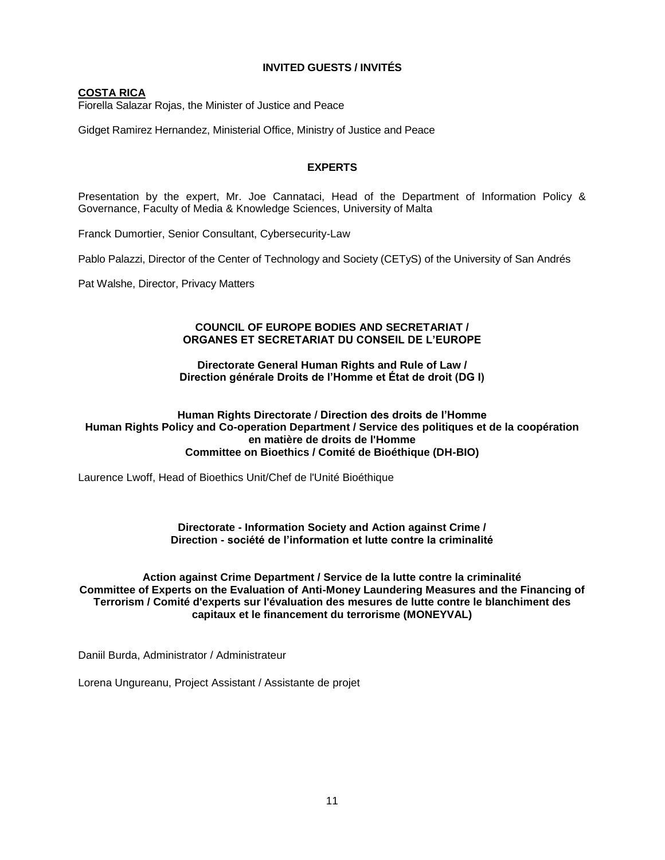# **INVITED GUESTS / INVITÉS**

# **COSTA RICA**

[Fiorella Salazar Rojas, the Minister of Justice and Peace](https://www.peaceoneday.org/Main/Contributors?p=H.E.FiorellaSalazarRojas)

Gidget Ramirez Hernandez, Ministerial Office, Ministry of Justice and Peace

# **EXPERTS**

Presentation by the expert, Mr. Joe Cannataci, Head of the Department of Information Policy & Governance, Faculty of Media & Knowledge Sciences, University of Malta

Franck Dumortier, Senior Consultant, Cybersecurity-Law

Pablo Palazzi, Director of the Center of Technology and Society (CETyS) of the University of San Andrés

Pat Walshe, Director, Privacy Matters

### **COUNCIL OF EUROPE BODIES AND SECRETARIAT / ORGANES ET SECRETARIAT DU CONSEIL DE L'EUROPE**

#### **Directorate General Human Rights and Rule of Law / Direction générale Droits de l'Homme et État de droit (DG I)**

#### **Human Rights Directorate / Direction des droits de l'Homme [Human Rights Policy and Co-operation Department / Service des politiques et de la coopération](https://cs.coe.int/_layouts/orgchart/orgchart.aspx?lcid=1036&key=773&open=false)  [en matière de droits de l'Homme](https://cs.coe.int/_layouts/orgchart/orgchart.aspx?lcid=1036&key=773&open=false) Committee on Bioethics / Comité de Bioéthique (DH-BIO)**

Laurence Lwoff, Head of Bioethics Unit/Chef de l'Unité Bioéthique

#### **Directorate - Information Society and Action against Crime / Direction - société de l'information et lutte contre la criminalité**

## **Action against Crime Department / Service de la lutte contre la criminalité [Committee of Experts on the Evaluation of Anti-Money Laundering Measures and the Financing of](https://www.coe.int/en/web/moneyval)  [Terrorism](https://www.coe.int/en/web/moneyval) / Comité d'experts sur l'évaluation des mesures de lutte contre le blanchiment des capitaux et le financement du terrorisme (MONEYVAL)**

Daniil Burda, Administrator / Administrateur

Lorena Ungureanu, Project Assistant / Assistante de projet